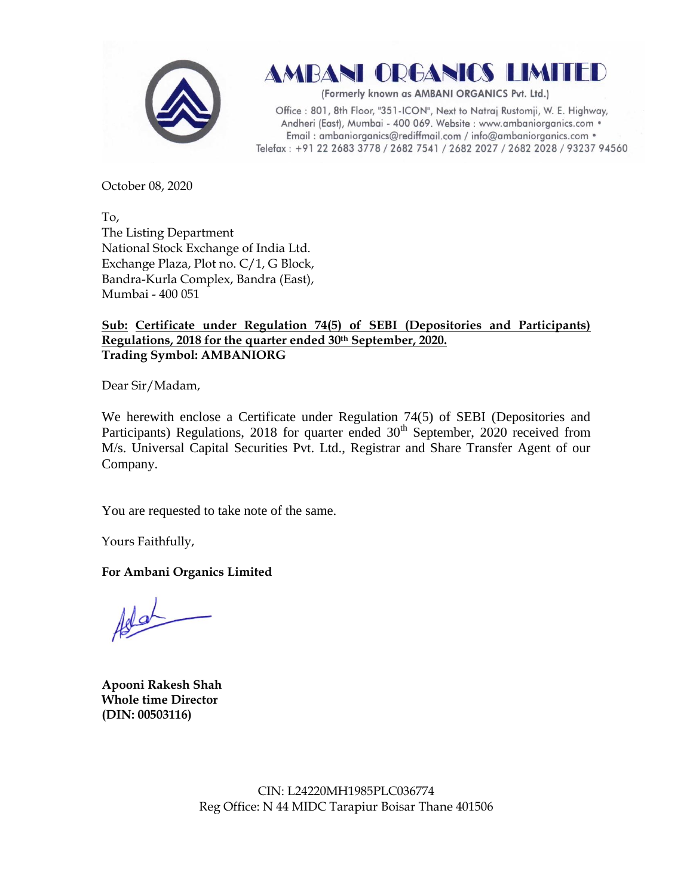

AMBANI ORGANICS LIMITED

(Formerly known as AMBANI ORGANICS Pvt. Ltd.)

Office: 801, 8th Floor, "351-ICON", Next to Natraj Rustomji, W. E. Highway, Andheri (East), Mumbai - 400 069. Website : www.ambaniorganics.com • Email: ambaniorganics@rediffmail.com / info@ambaniorganics.com . Telefax: +91 22 2683 3778 / 2682 7541 / 2682 2027 / 2682 2028 / 93237 94560

October 08, 2020

To, The Listing Department National Stock Exchange of India Ltd. Exchange Plaza, Plot no. C/1, G Block, Bandra-Kurla Complex, Bandra (East), Mumbai - 400 051

## **Sub: Certificate under Regulation 74(5) of SEBI (Depositories and Participants) Regulations, 2018 for the quarter ended 30th September, 2020. Trading Symbol: AMBANIORG**

Dear Sir/Madam,

We herewith enclose a Certificate under Regulation 74(5) of SEBI (Depositories and Participants) Regulations, 2018 for quarter ended 30<sup>th</sup> September, 2020 received from M/s. Universal Capital Securities Pvt. Ltd., Registrar and Share Transfer Agent of our Company.

You are requested to take note of the same.

Yours Faithfully,

**For Ambani Organics Limited**

Woh

**Apooni Rakesh Shah Whole time Director (DIN: [00503116\)](http://www.mca.gov.in/mcafoportal/companyLLPMasterData.do)**

CIN: L24220MH1985PLC036774 Reg Office: N 44 MIDC Tarapiur Boisar Thane 401506